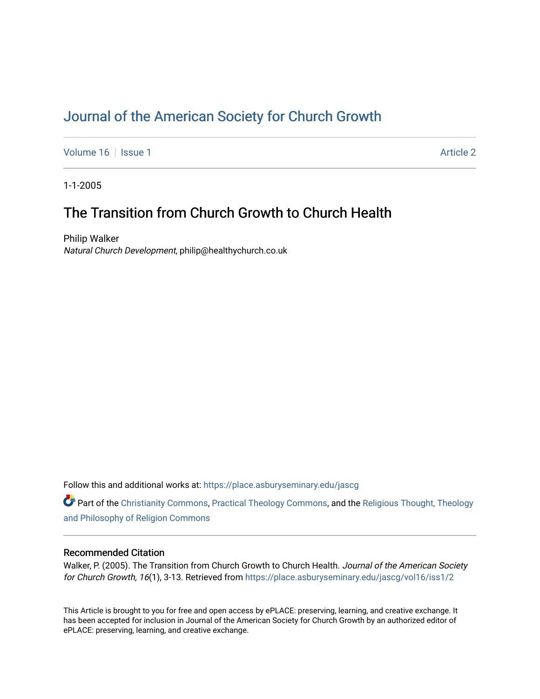# [Journal of the American Society for Church Growth](https://place.asburyseminary.edu/jascg)

[Volume 16](https://place.asburyseminary.edu/jascg/vol16) | [Issue 1](https://place.asburyseminary.edu/jascg/vol16/iss1) Article 2

1-1-2005

# The Transition from Church Growth to Church Health

Philip Walker Natural Church Development, philip@healthychurch.co.uk

Follow this and additional works at: [https://place.asburyseminary.edu/jascg](https://place.asburyseminary.edu/jascg?utm_source=place.asburyseminary.edu%2Fjascg%2Fvol16%2Fiss1%2F2&utm_medium=PDF&utm_campaign=PDFCoverPages)

Part of the [Christianity Commons,](https://network.bepress.com/hgg/discipline/1181?utm_source=place.asburyseminary.edu%2Fjascg%2Fvol16%2Fiss1%2F2&utm_medium=PDF&utm_campaign=PDFCoverPages) [Practical Theology Commons](https://network.bepress.com/hgg/discipline/1186?utm_source=place.asburyseminary.edu%2Fjascg%2Fvol16%2Fiss1%2F2&utm_medium=PDF&utm_campaign=PDFCoverPages), and the [Religious Thought, Theology](https://network.bepress.com/hgg/discipline/544?utm_source=place.asburyseminary.edu%2Fjascg%2Fvol16%2Fiss1%2F2&utm_medium=PDF&utm_campaign=PDFCoverPages)  [and Philosophy of Religion Commons](https://network.bepress.com/hgg/discipline/544?utm_source=place.asburyseminary.edu%2Fjascg%2Fvol16%2Fiss1%2F2&utm_medium=PDF&utm_campaign=PDFCoverPages)

## Recommended Citation

Walker, P. (2005). The Transition from Church Growth to Church Health. Journal of the American Society for Church Growth, 16(1), 3-13. Retrieved from [https://place.asburyseminary.edu/jascg/vol16/iss1/2](https://place.asburyseminary.edu/jascg/vol16/iss1/2?utm_source=place.asburyseminary.edu%2Fjascg%2Fvol16%2Fiss1%2F2&utm_medium=PDF&utm_campaign=PDFCoverPages) 

This Article is brought to you for free and open access by ePLACE: preserving, learning, and creative exchange. It has been accepted for inclusion in Journal of the American Society for Church Growth by an authorized editor of ePLACE: preserving, learning, and creative exchange.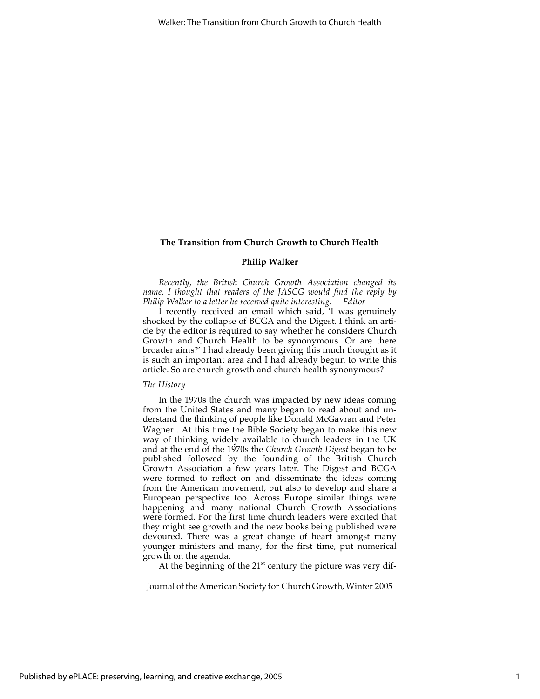## **Philip Walker**

*Recently, the British Church Growth Association changed its name. I thought that readers of the JASCG would find the reply by Philip Walker to a letter he received quite interesting. —Editor*

I recently received an email which said, 'I was genuinely shocked by the collapse of BCGA and the Digest. I think an article by the editor is required to say whether he considers Church Growth and Church Health to be synonymous. Or are there broader aims?' I had already been giving this much thought as it is such an important area and I had already begun to write this article. So are church growth and church health synonymous?

#### *The History*

In the 1970s the church was impacted by new ideas coming from the United States and many began to read about and understand the thinking of people like Donald McGavran and Peter Wagner<sup>1</sup>. At this time the Bible Society began to make this new way of thinking widely available to church leaders in the UK and at the end of the 1970s the *Church Growth Digest* began to be published followed by the founding of the British Church Growth Association a few years later. The Digest and BCGA were formed to reflect on and disseminate the ideas coming from the American movement, but also to develop and share a European perspective too. Across Europe similar things were happening and many national Church Growth Associations were formed. For the first time church leaders were excited that they might see growth and the new books being published were devoured. There was a great change of heart amongst many younger ministers and many, for the first time, put numerical growth on the agenda.

At the beginning of the  $21<sup>st</sup>$  century the picture was very dif-

Journal of the American Society for Church Growth, Winter 2005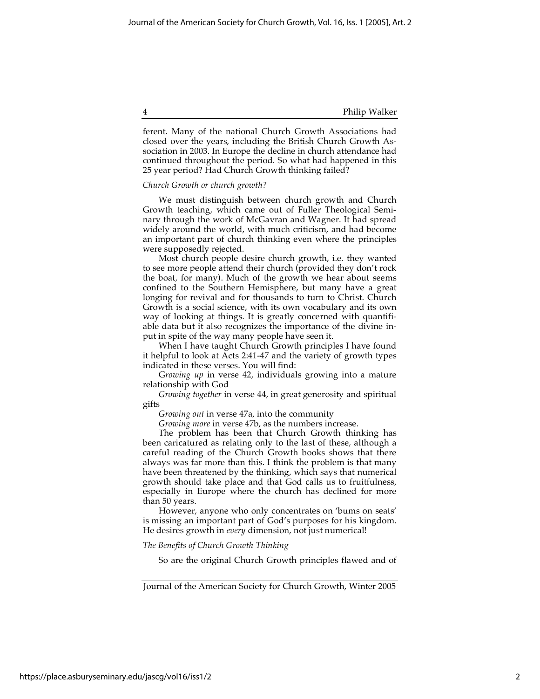4 Philip Walker

ferent. Many of the national Church Growth Associations had closed over the years, including the British Church Growth Association in 2003. In Europe the decline in church attendance had continued throughout the period. So what had happened in this 25 year period? Had Church Growth thinking failed?

## *Church Growth or church growth?*

We must distinguish between church growth and Church Growth teaching, which came out of Fuller Theological Seminary through the work of McGavran and Wagner. It had spread widely around the world, with much criticism, and had become an important part of church thinking even where the principles were supposedly rejected.

Most church people desire church growth, i.e. they wanted to see more people attend their church (provided they don't rock the boat, for many). Much of the growth we hear about seems confined to the Southern Hemisphere, but many have a great longing for revival and for thousands to turn to Christ. Church Growth is a social science, with its own vocabulary and its own way of looking at things. It is greatly concerned with quantifiable data but it also recognizes the importance of the divine input in spite of the way many people have seen it.

When I have taught Church Growth principles I have found it helpful to look at Acts 2:41-47 and the variety of growth types indicated in these verses. You will find:

G*rowing up* in verse 42, individuals growing into a mature relationship with God

*Growing together* in verse 44, in great generosity and spiritual gifts

*Growing out* in verse 47a, into the community

*Growing more* in verse 47b, as the numbers increase.

The problem has been that Church Growth thinking has been caricatured as relating only to the last of these, although a careful reading of the Church Growth books shows that there always was far more than this. I think the problem is that many have been threatened by the thinking, which says that numerical growth should take place and that God calls us to fruitfulness, especially in Europe where the church has declined for more than 50 years.

However, anyone who only concentrates on 'bums on seats' is missing an important part of God's purposes for his kingdom. He desires growth in *every* dimension, not just numerical!

### *The Benefits of Church Growth Thinking*

So are the original Church Growth principles flawed and of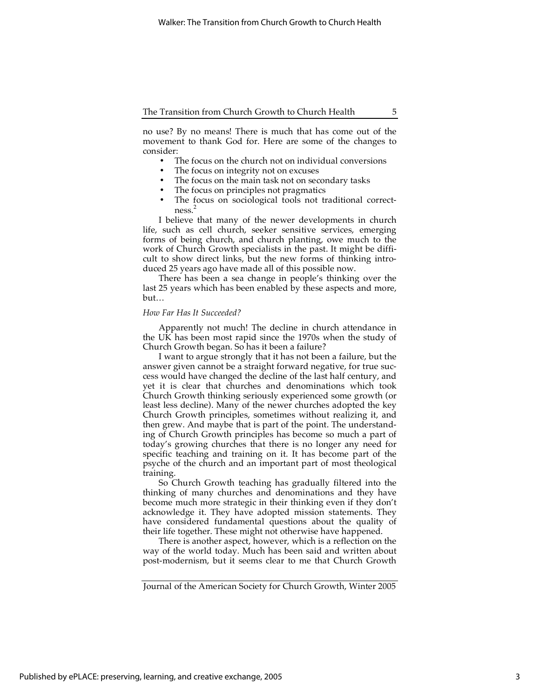no use? By no means! There is much that has come out of the movement to thank God for. Here are some of the changes to consider:

- The focus on the church not on individual conversions
- The focus on integrity not on excuses
- The focus on the main task not on secondary tasks
- The focus on principles not pragmatics
- The focus on sociological tools not traditional correctness. 2

I believe that many of the newer developments in church life, such as cell church, seeker sensitive services, emerging forms of being church, and church planting, owe much to the work of Church Growth specialists in the past. It might be difficult to show direct links, but the new forms of thinking introduced 25 years ago have made all of this possible now.

There has been a sea change in people's thinking over the last 25 years which has been enabled by these aspects and more, but…

### *How Far Has It Succeeded?*

Apparently not much! The decline in church attendance in the UK has been most rapid since the 1970s when the study of Church Growth began. So has it been a failure?

I want to argue strongly that it has not been a failure, but the answer given cannot be a straight forward negative, for true success would have changed the decline of the last half century, and yet it is clear that churches and denominations which took Church Growth thinking seriously experienced some growth (or least less decline). Many of the newer churches adopted the key Church Growth principles, sometimes without realizing it, and then grew. And maybe that is part of the point. The understanding of Church Growth principles has become so much a part of today's growing churches that there is no longer any need for specific teaching and training on it. It has become part of the psyche of the church and an important part of most theological training.

So Church Growth teaching has gradually filtered into the thinking of many churches and denominations and they have become much more strategic in their thinking even if they don't acknowledge it. They have adopted mission statements. They have considered fundamental questions about the quality of their life together. These might not otherwise have happened.

There is another aspect, however, which is a reflection on the way of the world today. Much has been said and written about post-modernism, but it seems clear to me that Church Growth

Journal of the American Society for Church Growth, Winter 2005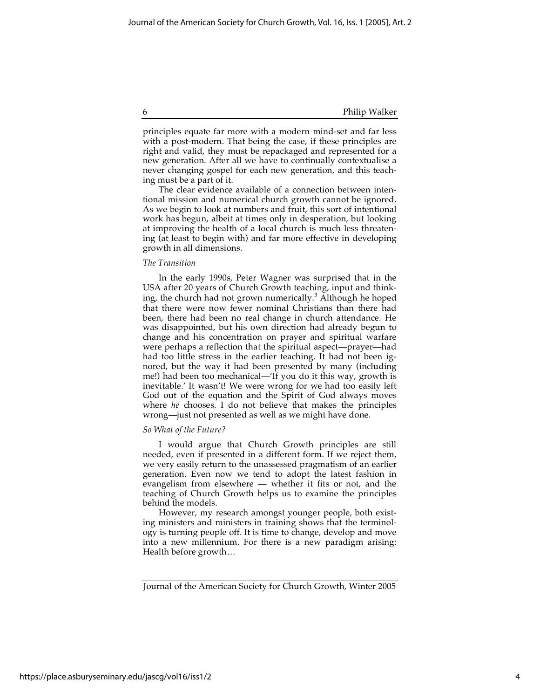6 Philip Walker

principles equate far more with a modern mind-set and far less with a post-modern. That being the case, if these principles are right and valid, they must be repackaged and represented for a new generation. After all we have to continually contextualise a never changing gospel for each new generation, and this teaching must be a part of it.

The clear evidence available of a connection between intentional mission and numerical church growth cannot be ignored. As we begin to look at numbers and fruit, this sort of intentional work has begun, albeit at times only in desperation, but looking at improving the health of a local church is much less threatening (at least to begin with) and far more effective in developing growth in all dimensions.

### *The Transition*

In the early 1990s, Peter Wagner was surprised that in the USA after 20 years of Church Growth teaching, input and thinking, the church had not grown numerically.<sup>3</sup> Although he hoped that there were now fewer nominal Christians than there had been, there had been no real change in church attendance. He was disappointed, but his own direction had already begun to change and his concentration on prayer and spiritual warfare were perhaps a reflection that the spiritual aspect—prayer—had had too little stress in the earlier teaching. It had not been ignored, but the way it had been presented by many (including me!) had been too mechanical—'If you do it this way, growth is inevitable.' It wasn't! We were wrong for we had too easily left God out of the equation and the Spirit of God always moves where *he* chooses. I do not believe that makes the principles wrong—just not presented as well as we might have done.

### *So What of the Future?*

I would argue that Church Growth principles are still needed, even if presented in a different form. If we reject them, we very easily return to the unassessed pragmatism of an earlier generation. Even now we tend to adopt the latest fashion in evangelism from elsewhere — whether it fits or not, and the teaching of Church Growth helps us to examine the principles behind the models.

However, my research amongst younger people, both existing ministers and ministers in training shows that the terminology is turning people off. It is time to change, develop and move into a new millennium. For there is a new paradigm arising: Health before growth…

Journal of the American Society for Church Growth, Winter 2005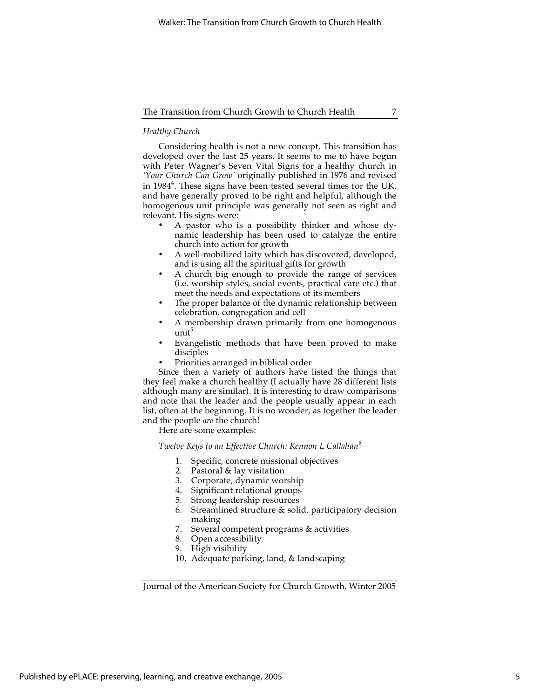## *Healthy Church*

Considering health is not a new concept. This transition has developed over the last 25 years. It seems to me to have begun with Peter Wagner's Seven Vital Signs for a healthy church in *'Your Church Can Grow'* originally published in 1976 and revised in 1984<sup>4</sup>. These signs have been tested several times for the UK, and have generally proved to be right and helpful, although the homogenous unit principle was generally not seen as right and relevant. His signs were:

- A pastor who is a possibility thinker and whose dynamic leadership has been used to catalyze the entire church into action for growth
- A well-mobilized laity which has discovered, developed, and is using all the spiritual gifts for growth
- A church big enough to provide the range of services (i.e. worship styles, social events, practical care etc.) that meet the needs and expectations of its members
- The proper balance of the dynamic relationship between celebration, congregation and cell
- A membership drawn primarily from one homogenous unit<sup>5</sup>
- Evangelistic methods that have been proved to make disciples
- Priorities arranged in biblical order

Since then a variety of authors have listed the things that they feel make a church healthy (I actually have 28 different lists although many are similar). It is interesting to draw comparisons and note that the leader and the people usually appear in each list, often at the beginning. It is no wonder, as together the leader and the people *are* the church!

Here are some examples:

## *Twelve Keys to an Effective Church: Kennon L Callahan<sup>6</sup>*

- 1. Specific, concrete missional objectives
- 2. Pastoral & lay visitation
- 3. Corporate, dynamic worship
- 4. Significant relational groups
- 5. Strong leadership resources
- 6. Streamlined structure & solid, participatory decision making
- 7. Several competent programs & activities
- 8. Open accessibility
- 9. High visibility
- 10. Adequate parking, land, & landscaping

Journal of the American Society for Church Growth, Winter 2005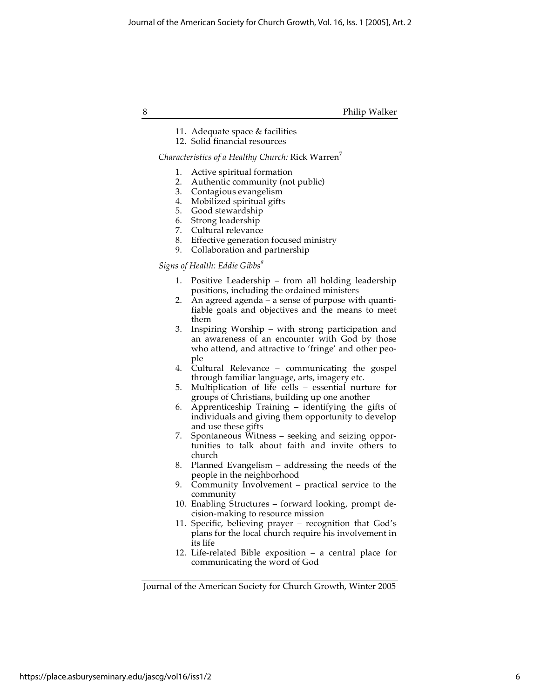8 Philip Walker

- 11. Adequate space & facilities
- 12. Solid financial resources

## *Characteristics of a Healthy Church: Rick Warren*<sup>7</sup>

- 1. Active spiritual formation
- 2. Authentic community (not public)
- 3. Contagious evangelism
- 4. Mobilized spiritual gifts
- 5. Good stewardship
- 6. Strong leadership
- 7. Cultural relevance
- 8. Effective generation focused ministry
- 9. Collaboration and partnership

## *Signs of Health: Eddie Gibbs<sup>8</sup>*

- 1. Positive Leadership from all holding leadership positions, including the ordained ministers
- 2. An agreed agenda a sense of purpose with quantifiable goals and objectives and the means to meet them
- 3. Inspiring Worship with strong participation and an awareness of an encounter with God by those who attend, and attractive to 'fringe' and other people
- 4. Cultural Relevance communicating the gospel through familiar language, arts, imagery etc.
- 5. Multiplication of life cells essential nurture for groups of Christians, building up one another
- 6. Apprenticeship Training identifying the gifts of individuals and giving them opportunity to develop and use these gifts
- 7. Spontaneous Witness seeking and seizing opportunities to talk about faith and invite others to church
- 8. Planned Evangelism addressing the needs of the people in the neighborhood
- 9. Community Involvement practical service to the community
- 10. Enabling Structures forward looking, prompt decision-making to resource mission
- 11. Specific, believing prayer recognition that God's plans for the local church require his involvement in its life
- 12. Life-related Bible exposition a central place for communicating the word of God

Journal of the American Society for Church Growth, Winter 2005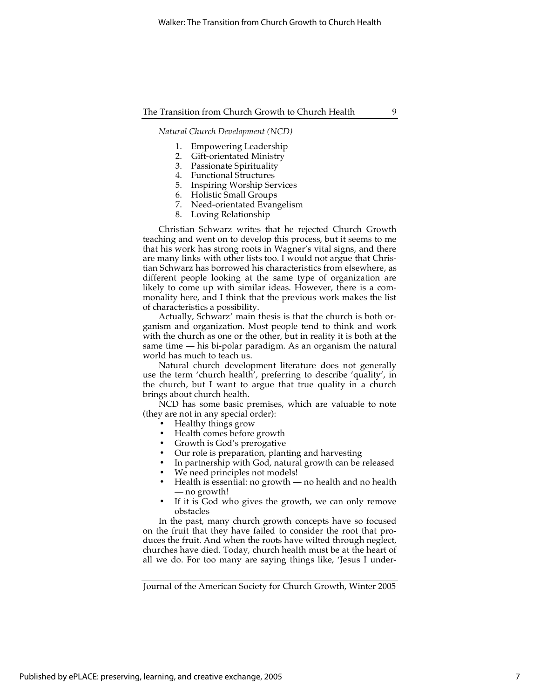*Natural Church Development (NCD)*

- 1. Empowering Leadership
- 2. Gift-orientated Ministry
- 3. Passionate Spirituality
- 4. Functional Structures
- 5. Inspiring Worship Services
- 6. Holistic Small Groups
- 7. Need-orientated Evangelism
- 8. Loving Relationship

Christian Schwarz writes that he rejected Church Growth teaching and went on to develop this process, but it seems to me that his work has strong roots in Wagner's vital signs, and there are many links with other lists too. I would not argue that Christian Schwarz has borrowed his characteristics from elsewhere, as different people looking at the same type of organization are likely to come up with similar ideas. However, there is a commonality here, and I think that the previous work makes the list of characteristics a possibility.

Actually, Schwarz' main thesis is that the church is both organism and organization. Most people tend to think and work with the church as one or the other, but in reality it is both at the same time — his bi-polar paradigm. As an organism the natural world has much to teach us.

Natural church development literature does not generally use the term 'church health', preferring to describe 'quality', in the church, but I want to argue that true quality in a church brings about church health.

NCD has some basic premises, which are valuable to note (they are not in any special order):

- Healthy things grow
- Health comes before growth
- Growth is God's prerogative
- Our role is preparation, planting and harvesting
- In partnership with God, natural growth can be released
- We need principles not models!
- Health is essential: no growth no health and no health — no growth!
- If it is God who gives the growth, we can only remove obstacles

In the past, many church growth concepts have so focused on the fruit that they have failed to consider the root that produces the fruit. And when the roots have wilted through neglect, churches have died. Today, church health must be at the heart of all we do. For too many are saying things like, 'Jesus I under-

Journal of the American Society for Church Growth, Winter 2005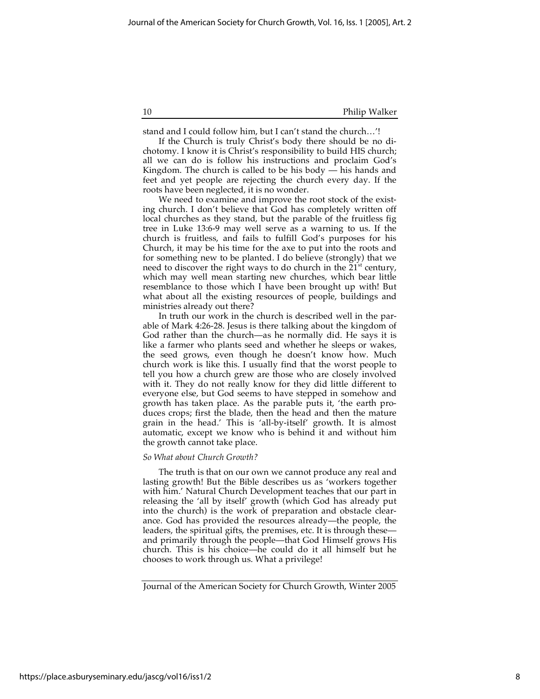stand and I could follow him, but I can't stand the church…'!

If the Church is truly Christ's body there should be no dichotomy. I know it is Christ's responsibility to build HIS church; all we can do is follow his instructions and proclaim God's Kingdom. The church is called to be his body  $-\overline{\phantom{a}}$  his hands and feet and yet people are rejecting the church every day. If the roots have been neglected, it is no wonder.

We need to examine and improve the root stock of the existing church. I don't believe that God has completely written off local churches as they stand, but the parable of the fruitless fig tree in Luke 13:6-9 may well serve as a warning to us. If the church is fruitless, and fails to fulfill God's purposes for his Church, it may be his time for the axe to put into the roots and for something new to be planted. I do believe (strongly) that we need to discover the right ways to do church in the  $21<sup>st</sup>$  century, which may well mean starting new churches, which bear little resemblance to those which I have been brought up with! But what about all the existing resources of people, buildings and ministries already out there?

In truth our work in the church is described well in the parable of Mark 4:26-28. Jesus is there talking about the kingdom of God rather than the church—as he normally did. He says it is like a farmer who plants seed and whether he sleeps or wakes, the seed grows, even though he doesn't know how. Much church work is like this. I usually find that the worst people to tell you how a church grew are those who are closely involved with it. They do not really know for they did little different to everyone else, but God seems to have stepped in somehow and growth has taken place. As the parable puts it, 'the earth produces crops; first the blade, then the head and then the mature grain in the head.' This is 'all-by-itself' growth. It is almost automatic, except we know who is behind it and without him the growth cannot take place.

### *So What about Church Growth?*

The truth is that on our own we cannot produce any real and lasting growth! But the Bible describes us as 'workers together with him.' Natural Church Development teaches that our part in releasing the 'all by itself' growth (which God has already put into the church) is the work of preparation and obstacle clearance. God has provided the resources already—the people, the leaders, the spiritual gifts, the premises, etc. It is through these and primarily through the people—that God Himself grows His church. This is his choice—he could do it all himself but he chooses to work through us. What a privilege!

Journal of the American Society for Church Growth, Winter 2005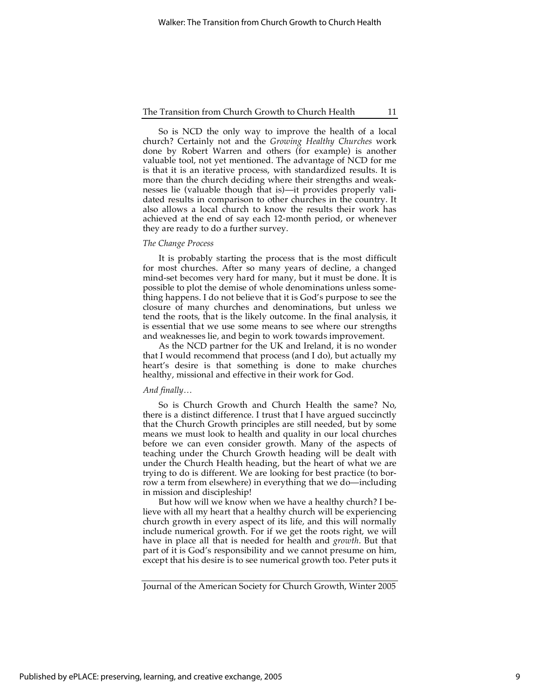So is NCD the only way to improve the health of a local church? Certainly not and the *Growing Healthy Churches* work done by Robert Warren and others (for example) is another valuable tool, not yet mentioned. The advantage of NCD for me is that it is an iterative process, with standardized results. It is more than the church deciding where their strengths and weaknesses lie (valuable though that is)—it provides properly validated results in comparison to other churches in the country. It also allows a local church to know the results their work has achieved at the end of say each 12-month period, or whenever they are ready to do a further survey.

#### *The Change Process*

It is probably starting the process that is the most difficult for most churches. After so many years of decline, a changed mind-set becomes very hard for many, but it must be done. It is possible to plot the demise of whole denominations unless something happens. I do not believe that it is God's purpose to see the closure of many churches and denominations, but unless we tend the roots, that is the likely outcome. In the final analysis, it is essential that we use some means to see where our strengths and weaknesses lie, and begin to work towards improvement.

As the NCD partner for the UK and Ireland, it is no wonder that I would recommend that process (and I do), but actually my heart's desire is that something is done to make churches healthy, missional and effective in their work for God.

#### *And finally…*

So is Church Growth and Church Health the same? No, there is a distinct difference. I trust that I have argued succinctly that the Church Growth principles are still needed, but by some means we must look to health and quality in our local churches before we can even consider growth. Many of the aspects of teaching under the Church Growth heading will be dealt with under the Church Health heading, but the heart of what we are trying to do is different. We are looking for best practice (to borrow a term from elsewhere) in everything that we do—including in mission and discipleship!

But how will we know when we have a healthy church? I believe with all my heart that a healthy church will be experiencing church growth in every aspect of its life, and this will normally include numerical growth. For if we get the roots right, we will have in place all that is needed for health and *growth*. But that part of it is God's responsibility and we cannot presume on him, except that his desire is to see numerical growth too. Peter puts it

Journal of the American Society for Church Growth, Winter 2005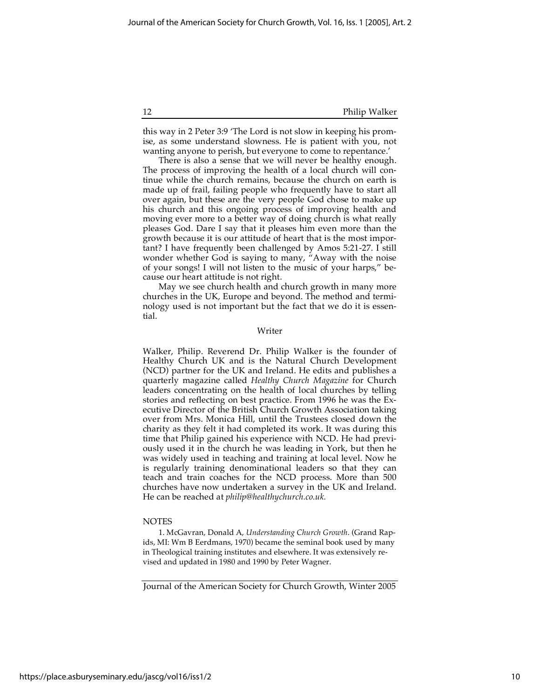this way in 2 Peter 3:9 'The Lord is not slow in keeping his promise, as some understand slowness. He is patient with you, not wanting anyone to perish, but everyone to come to repentance.'

There is also a sense that we will never be healthy enough. The process of improving the health of a local church will continue while the church remains, because the church on earth is made up of frail, failing people who frequently have to start all over again, but these are the very people God chose to make up his church and this ongoing process of improving health and moving ever more to a better way of doing church is what really pleases God. Dare I say that it pleases him even more than the growth because it is our attitude of heart that is the most important? I have frequently been challenged by Amos 5:21-27. I still wonder whether God is saying to many, "Away with the noise of your songs! I will not listen to the music of your harps," because our heart attitude is not right.

May we see church health and church growth in many more churches in the UK, Europe and beyond. The method and terminology used is not important but the fact that we do it is essential.

## Writer

Walker, Philip. Reverend Dr. Philip Walker is the founder of Healthy Church UK and is the Natural Church Development (NCD) partner for the UK and Ireland. He edits and publishes a quarterly magazine called *Healthy Church Magazine* for Church leaders concentrating on the health of local churches by telling stories and reflecting on best practice. From 1996 he was the Executive Director of the British Church Growth Association taking over from Mrs. Monica Hill, until the Trustees closed down the charity as they felt it had completed its work. It was during this time that Philip gained his experience with NCD. He had previously used it in the church he was leading in York, but then he was widely used in teaching and training at local level. Now he is regularly training denominational leaders so that they can teach and train coaches for the NCD process. More than 500 churches have now undertaken a survey in the UK and Ireland. He can be reached at *philip@healthychurch.co.uk.*

### NOTES

1. McGavran, Donald A, *Understanding Church Growth*. (Grand Rapids, MI: Wm B Eerdmans, 1970) became the seminal book used by many in Theological training institutes and elsewhere. It was extensively revised and updated in 1980 and 1990 by Peter Wagner.

Journal of the American Society for Church Growth, Winter 2005